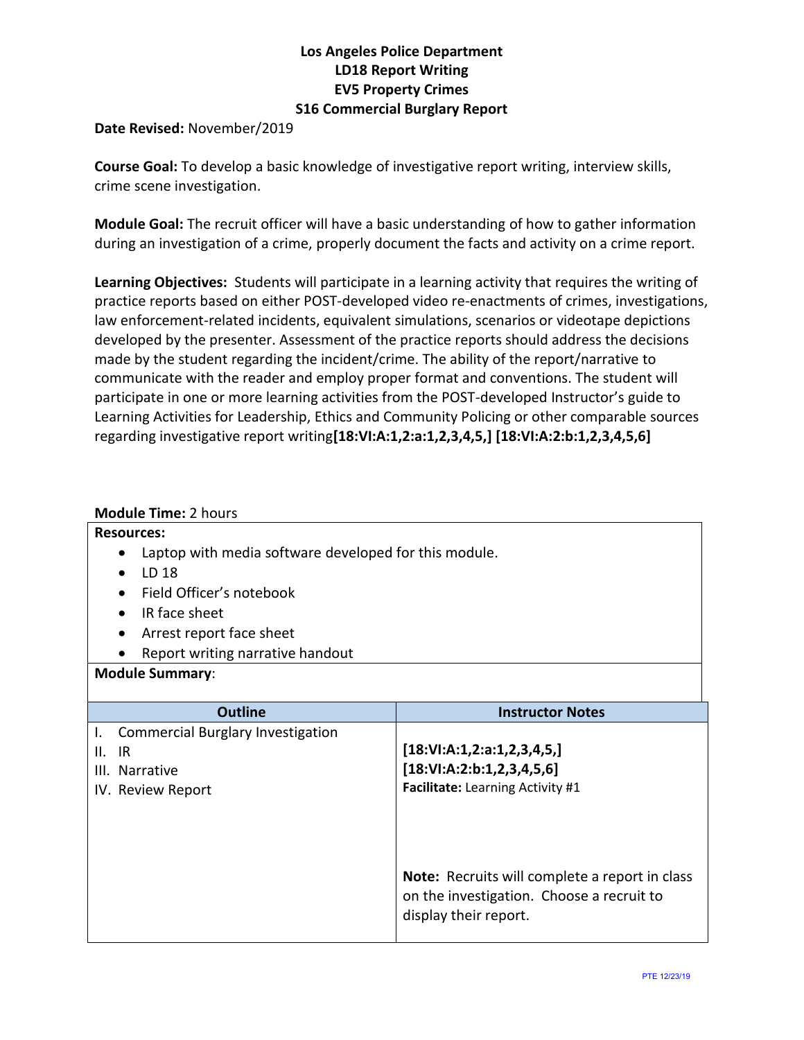## **Los Angeles Police Department LD18 Report Writing EV5 Property Crimes S16 Commercial Burglary Report**

**Date Revised:** November/2019

**Course Goal:** To develop a basic knowledge of investigative report writing, interview skills, crime scene investigation.

**Module Goal:** The recruit officer will have a basic understanding of how to gather information during an investigation of a crime, properly document the facts and activity on a crime report.

**Learning Objectives:** Students will participate in a learning activity that requires the writing of practice reports based on either POST-developed video re-enactments of crimes, investigations, law enforcement-related incidents, equivalent simulations, scenarios or videotape depictions developed by the presenter. Assessment of the practice reports should address the decisions made by the student regarding the incident/crime. The ability of the report/narrative to communicate with the reader and employ proper format and conventions. The student will participate in one or more learning activities from the POST-developed Instructor's guide to Learning Activities for Leadership, Ethics and Community Policing or other comparable sources regarding investigative report writing**[18:VI:A:1,2:a:1,2,3,4,5,] [18:VI:A:2:b:1,2,3,4,5,6]**

### **Module Time:** 2 hours

#### **Resources:**

- Laptop with media software developed for this module.
- LD 18
- Field Officer's notebook
- IR face sheet
- Arrest report face sheet
- Report writing narrative handout

#### **Module Summary**:

| <b>Outline</b>                           | <b>Instructor Notes</b>                                                                                                     |
|------------------------------------------|-----------------------------------------------------------------------------------------------------------------------------|
| <b>Commercial Burglary Investigation</b> |                                                                                                                             |
| $II.$ $IR$                               | [18:VI:A:1,2:a:1,2,3,4,5,]                                                                                                  |
| III. Narrative                           | [18:VI:A:2:b:1,2,3,4,5,6]                                                                                                   |
| IV. Review Report                        | Facilitate: Learning Activity #1                                                                                            |
|                                          |                                                                                                                             |
|                                          |                                                                                                                             |
|                                          | <b>Note:</b> Recruits will complete a report in class<br>on the investigation. Choose a recruit to<br>display their report. |